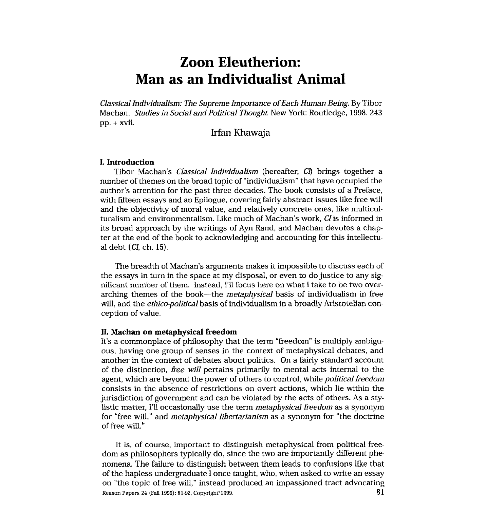# **Zoon Eleutherion: Man as an Individualist Animal**

*Classical Individualism: The Supreme Importance of Each Human Being.* By Tibor Machan. *Studies in Social and Political Thought.* New York: Routledge, 1998. 243 pp. + xvii.

# Irfan Khawaja

# **I. Introduction**

Tibor Machan's *Classical Individualism* (hereafter, *CI)* brings together a number of themes on the broad topic of "individualism" that have occupied the author's attention for the past three decades. The book consists of a Preface, with fifteen essays and an Epilogue, covering fairly abstract issues like free will and the objectivity of moral value, and relatively concrete ones, like multiculturalism and environmentalism. Like much of Machan's work, *CI* is informed in its broad approach by the writings of **Ayn** Rand, and Machan devotes a chapter at the end of the book to acknowledging and accounting for this intellectual debt *(CI,* ch. 15).

The breadth of Machan's arguments makes it impossible to discuss each of the essays in turn in the space at my disposal, or even to do justice to any significant number of them. Instead, I'll focus here on what I take to be two overarching themes of the book-the *metaphysical* basis of individualism in free will, and the *ethico-political* basis of individualism in a broadly Aristotelian conception of value.

#### **11. Machan on metaphysical freedom**

It's a commonplace of philosophy that the term "freedom" is multiply ambiguous, having one group of senses in the context of metaphysical debates, and another in the context of debates about politics. On a fairly standard account of the distinction, *free will* pertains primarily to mental acts internal to the agent, which are beyond the power of others to control, while *political freedom*  consists in the absence of restrictions on overt actions, which lie within the jurisdiction of government and can be violated by the acts of others. As a stylistic matter, I'll occasionally use the term *metaphysical freedom* as a synonym for "free will," and *metaphysical libertarianism* as a synonym for "the doctrine" of free will."

It is, of course, important to distinguish metaphysical from political freedom as philosophers typically do, since the two are importantly different phenomena. The failure to distinguish between them leads to confusions like that of the hapless undergraduate I once itaught, who, when asked to write an essay on "the topic of free will," instead piroduced an impassioned tract advocating Reason Papers 24 (Fall 1999): 81-92, Copyright<sup>®</sup> 1999.  $81$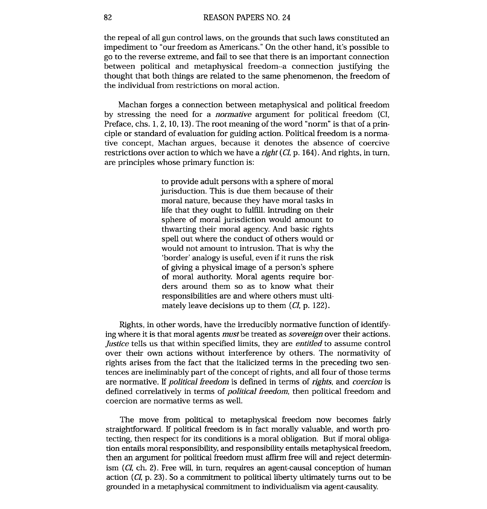the repeal of all gun control laws, on the grounds that such laws constituted an impediment to "our freedom as Americans." On the other hand, it's possible to go to the reverse extreme, and fail to see that there is an important connection between political and metaphysical freedom--a connection justifying the thought that both things are related to the same phenomenon, the freedom of the individual from restrictions on moral action.

Machan forges a connection between metaphysical and political freedom by stressing the need for a *normative* argument for political freedom (CI, Preface, chs. 1, 2, 10, 13). The root meaning of the word "norm" is that of a principle or standard of evaluation for guiding action. Political freedom is a normative concept, Machan argues, because it denotes the absence of coercive restrictions over action to which we have a *right (CI,* p. 164). And rights, in turn, are principles whose primary function is:

> to provide adult persons with a sphere of moral jurisduction. This is due them because of their moral nature, because they have moral tasks in life that they ought to fulfill. Intruding on their sphere of moral jurisdiction would amount to thwarting their moral agency. And basic rights spell out where the conduct of others would or would not amount to intrusion. That is why the 'border' analogy is useful, even if it runs the risk of giving a physical image of a person's sphere of moral authority. Moral agents require borders around them so as to know what their responsibilities are and where others must ultimately leave decisions up to them *(CI,* p. 122).

Rights, in other words, have the irreducibly normative function of identifying where it is that moral agents *must* be treated as *sovereign* over their actions. *Justice* tells us that within specified limits, they are *entitled* to assume control over their own actions without interference by others. The normativity of rights arises from the fact that the italicized terms in the preceding two sentences are ineliminably part of the concept of rights, and all four of those terms are normative. If *political freedom* is defined in terms of *rights,* and *coercion* is defined correlatively in terms of *political freedom,* then political freedom and coercion are normative terms as well.

The move from political to metaphysical freedom now becomes fairly straightforward. If political freedom is in fact morally valuable, and worth protecting, then respect for its conditions is a moral obligation. But if moral obligation entails moral responsibility, and responsibility entails metaphysical freedom, then an argument for political freedom must affirm free will and reject determinism *(CI,* ch. 2). Free will, in turn, requires an agent-causal conception of human action *(CI,* p. 23). So a commitment to political liberty ultimately turns out to be grounded in a metaphysical commitment to individualism via agent-causality.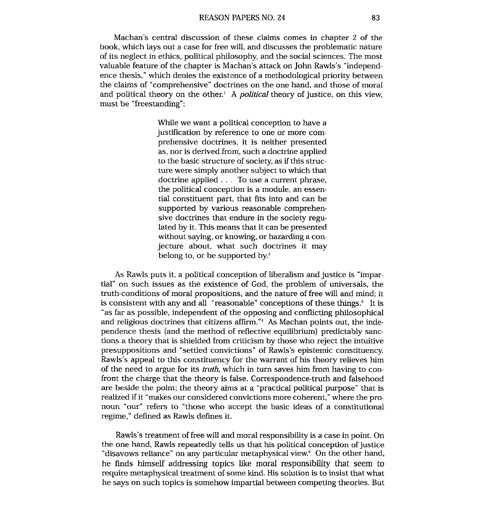Machan's central discussion of these claims comes in chapter 2 of the book, which lays out a case for free will, and discusses the problematic nature of its neglect in ethics, political philosophy, and the social sciences. The most valuable feature of the chapter is Machan's attack on John Rawls's "independence thesis," which denies the existence of a methodological priority between the claims of "comprehensive" doctrines on the one hand, and those of moral and political theory on the other.' A **political** theory of justice, on this view, must be "freestanding":

> While we want a political conception to have a justification by reference to one or more comprehensive doctrines, it is neither presented as, nor is derived from, such a doctrine applied to the basic structure of society, as if this structure were simply another subject to which that doctrine applied . . . To use a current phrase, the political conception is a module, an essential constituent part., that fits into and can be supported by various reasonable comprehensive doctrines that endure in the society regulated by it. This means that it can be presented without saying, or knowing, or hazarding a conjecture about, what such doctrines it may belong to, or be supported by.'

As Rawls puts it, a political conception of liberalism and justice is "impartial" on such issues as the existence of God, the problem of universals, the truth-conditions of moral propositions, and the nature of free will and mind; it is consistent with any and all "reasonable" conceptions of these things. $\delta$  It is "as far as possible, independent of the opposing and conflicting philosophical and religious doctrines that citizens affirm."4 As Machan points out, the independence thesis (and the method o'f reflective equilibrium) predictably sanctions a theory that is shielded from criticism by those who reject the intuitive presuppositions and "settled convictions" of Rawls's epistemic constituency. Rawls's appeal to this constituency for the warrant of his theory relieves him of the need to argue for its *truth,* which in turn saves him from having to confront the charge that the theory is false. Correspondence-truth and falsehood are beside the point; the theory aims at a "practical political purpose" that is realized if it "makes our considered convictions more coherent," where the pronoun "our" refers to "those who accept the basic ideas of a constitutional regime," defined as Rawls defines it.

Rawls's treatment of free will and moral responsibility is a case in point. On the one hand, Rawls repeatedly tells us that his political conception of justice "disavows reliance" on any particular metaphysical view. <sup>6</sup> On the other hand, he finds himself addressing topics like moral responsibility that seem to require metaphysical treatment of some kind. His solution is to insist that what he says on such topics is somehow impartial between competing theories. But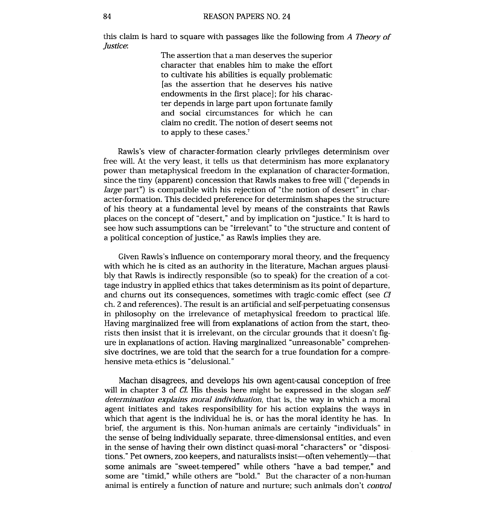this claim is hard to square with passages like the following from *A Theory of Justice:* 

> The assertion that **a** man deserves the superior character that enables him to make the effort to cultivate his abilities is equally problematic [as the assertion that he deserves his native endowments in the first place]; for his character depends in large part upon fortunate family and social circumstances for which he can claim no credit. The notion of desert seems not to apply to these cases.?

Rawls's view of character-formation clearly privileges determinism over free will. At the very least, it tells us that determinism has more explanatory power than metaphysical freedom in the explanation of character-formation, since the tiny (apparent) concession that Rawls makes to free will ("depends in *large* part") is compatible with his rejection of "the notion of desert" in character-formation. This decided preference for determinism shapes the structure of his theory at a fundamental level by means of the constraints that Rawls places on the concept of "desert," and by implication on "justice." It is hard to see how such assumptions can be "irrelevant" to "the structure and content of a political conception of justice," as Rawls implies they are.

Given Rawls's influence on contemporary moral theory, and the frequency with which he is cited as an authority in the literature, Machan argues plausibly that Rawls is indirectly responsible (so to speak) for the creation of a cottage industry in applied ethics that takes determinism as its point of departure, and churns out its consequences, sometimes with tragic-comic effect (see CI ch. 2 and references). The result is an artificial and self-perpetuating consensus in philosophy on the irrelevance of metaphysical freedom to practical life. Having marginalized free will from explanations of action from the start, theorists then insist that it is irrelevant, on the circular grounds that it doesn't figure in explanations of action. Having marginalized "unreasonable" comprehensive doctrines, we are told that the search for a true foundation for a comprehensive meta-ethics is "delusional."

Machan disagrees, and develops his own agent-causal conception of free will in chapter **3** of **CI.** His thesis here might be expressed in the slogan *self determination explains moral individuation,* that is, the way in which a moral agent initiates and takes responsibility for his action explains the ways in which that agent is the individual he is, or has the moral identity he has. In brief, the argument is this. Non-human animals are certainly "individuals" in the sense of being individually separate, three-dimensionsal entities, and even in the sense of having their own distinct quasi-moral "characters" or "dispositions." Pet owners, zoo keepers, and naturalists insist-often vehemently--that some animals are "sweet-tempered" while others "have a bad temper," and some are "timid," while others are "bold." But the character of a non-human animal is entirely a function of nature and nurture; such animals don't *control*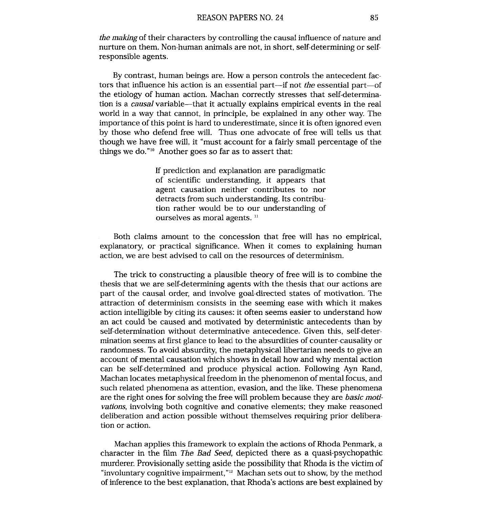*the making* of their characters by controlling the causal influence of nature and nurture on them. Non-human animals are not, in short, self-determining or selfresponsible agents.

By contrast, human beings are. How a person controls the antecedent factors that influence his action is an essential part-if not *the* essential part-of the etiology of human action. Machan correctly stresses that self-determination is a *causal* variable-that it actually explains empirical events in the real world in a way that cannot, in principle, be explained in any other way. The importance of this point is hard to underestimate, since it is often ignored even by those who defend free will. Thus one advocate of free will tells us that though we have free will, it "must account for a fairly small percentage of the things we do."<sup>10</sup> Another goes so far as to assert that:

> If prediction and explanation are paradigmatic of scientific understanding, it appears that agent causation neither contributes to nor detracts from such understanding. Its contribution rather would be to our understanding of ourselves as moral agents.<sup>11</sup>

Both claims amount to the concession that free will has no empirical, explanatory, or practical significance. When it comes to explaining human action, we are best advised to call on the resources of determinism.

The trick to constructing a plausible theory of free will is to combine the thesis that we are self-determining agents with the thesis that our actions are part of the causal order, and involve goal-directed states of motivation. The attraction of determinism consists in the seeming ease with which it makes action intelligible by citing its causes: it often seems easier to understand how an act could be caused and motivated by deterministic antecedents than by self-determination without determinative antecedence. Given this, self-determination seems at first glance to lead to the absurdities of counter-causality or randomness. To avoid absurdity, the metaphysical libertarian needs to give an account of mental causation which shows in detail how and why mental action can be self-determined and produce physical action. Following Ayn Rand, Machan locates metaphysical freedorn in the phenomenon of mental focus, and such related phenomena as attention, evasion, and the like. These phenomena are the right ones for solving the free will problem because they are *basic motivations,* involving both cognitive and conative elements; they make reasoned deliberation and action possible without themselves requiring prior deliberation or action.

Machan applies this framework to explain the actions of Rhoda Penmark, a character in the film *The Bad Seed,* depicted there as a quasi-psychopathic murderer. Provisionally setting aside the possibility that Rhoda is the victim of "involuntary cognitive impairment,"12 Machan sets out to show, by the method of inference to the best explanation, that Rhoda's actions are best explained by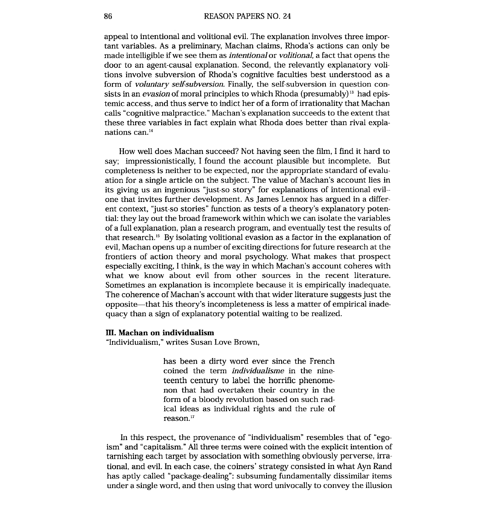appeal to intentional and volitional evil. The explanation involves three important variables. As a preliminary, Machan claims, Rhoda's actions can only be made intelligible if we see them as *intentional* or *volitional,* a fact that opens the door to an agent-causal explanation. Second, the relevantly explanatory volitions involve subversion of Rhoda's cognitive faculties best understood as a form of *voluntary se1f;subversion.* Finally, the self-subversion in question consists in an *evasion* of moral principles to which Rhoda (presumably)<sup>13</sup> had epistemic access, and thus serve to indict her of a form of irrationality that Machan calls "cognitive malpractice." Machan's explanation succeeds to the extent that these three variables in fact explain what Rhoda does better than rival explanations can.<sup>14</sup>

How well does Machan succeed? Not having seen the film, I find it hard to say; impressionistically, I found the account plausible but incomplete. But completeness is neither to be expected, nor the appropriate standard of evaluation for a single article on the subject. The value of Machan's account lies in its giving us an ingenious "just-so story" for explanations of intentional evil- one that invites further development. As James Lennox has argued in a different context, "just-so stories" function as tests of a theory's explanatory potential: they lay out the broad framework within which we can isolate the variables of a full explanation, plan a research program, and eventually test the results of that research.<sup>15</sup> By isolating volitional evasion as a factor in the explanation of evil, Machan opens up a number of exciting directions for future research at the frontiers of action theory and moral psychology. What makes that prospect especially exciting, I think, is the way in which Machan's account coheres with what we know about evil from other sources in the recent literature. Sometimes an explanation is inconnplete because it is empirically inadequate. The coherence of Machan's account with that wider literature suggests just the opposite-that his theory's incompleteness is less a matter of empirical inadequacy than a sign of explanatory potential waiting to be realized.

## **111. Machan on individualism**

"Individualism," writes Susan Love Brown,

has been a dirty word ever since the French coined the term *individualisme* in the nineteenth century to label the horrific phenomenon that had overtaken their country in the form of a bloody revolution based on such radical ideas as individual rights and the rule of reason."

In this respect, the provenance of "individualism" resembles that of "egoism" and "capitalism." All three terms were coined with the explicit intention of tarnishing each target by association with something obviously perverse, irrational, and evil. In each case, the coiners' strategy consisted in what Ayn Rand has aptly called "package-dealing": subsuming fundamentally dissimilar items under a single word, and then using that word univocally to convey the illusion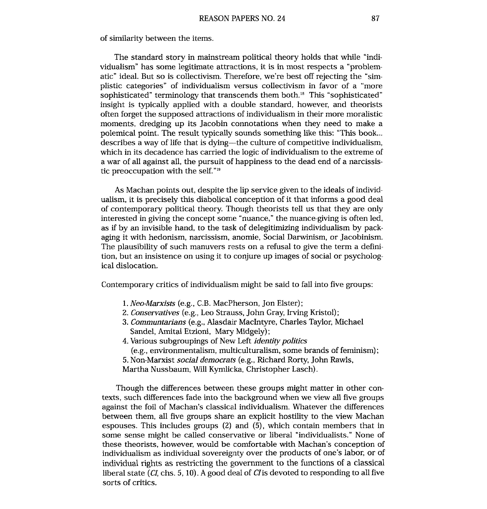of similarity between the items.

The standard story in mainstream political theory holds that while "individualism" has some legitimate attractions, it is in most respects a "problematic" ideal. But so is collectivism. Therefore, we're best off rejecting the "simplistic categories" of individualism versus collectivism in favor of a "more sophisticated" terminology that transcends them both. $^{18}$  This "sophisticated" insight is typically applied with a double standard, however, and theorists often forget the supposed attractions of individualism in their more moralistic moments, dredging up its Jacobin connotations when they need to make a polemical point. The result typically sounds something like this: "This book ... describes a way of life that is dying-the culture of competitive individualism, which in its decadence has carried the logic of individualism to the extreme of a war of all against all, the pursuit of happiness to the dead end of a narcissistic preoccupation with the self."'"

As Machan points out, despite the lip service given to the ideals of individualism, it is precisely this diabolical conception of it that informs a good deal of contemporary political theory. Though theorists tell us that they are only interested in giving the concept some "nuance," the nuance-giving is often led, as if by an invisible hand, to the task of delegitimizing individualism by packaging it with hedonism, narcissism, anomie, Social Darwinism, or Jacobinism. The plausibility of such manuvers rests on a refusal to give the term a definition, but an insistence on using it to conjure up images of social or psychological dislocation.

Contemporary critics of individualism might be said to fall into five groups:

- *1. Neo-Marxists* (e.g., *C.B.* MacPherson, Jon Elster);
- 2. *Conservatives* (e.g., Leo Strauss, John Gray, Irving Kristol);
- 3. *Communtarians* (e.g., Alasdair MacIntyre, Charles Taylor, Michael Sandel, Amitai Etzioni, Mary Midgely) ;
- 4. Various subgroupings of New Left *identity politics* (e.g., environmentalism, multiculturalism, some brands of feminism); 5. Non-Marxist *social democrats* (e.g., Richard Rorty, John Rawls,

Martha Nussbaum, Will Kymlicka, Christopher Lasch).

Though the differences between these groups might matter in other contexts, such differences fade into the background when we view all five groups against the foil of Machan's classical individualism. Whatever the differences between them, all five groups share an explicit hostility to the view Machan espouses. This includes groups (2) and (5), which contain members that in some sense might be called conservative or liberal "individualists." None of these theorists, however, would be comfortable with Machan's conception of individualism as individual sovereiginty over the products of one's labor, or of individual rights as restricting the government to the functions of a classical liberal state  $(CI, chs. 5, 10)$ . A good deal of CI is devoted to responding to all five sorts of critics.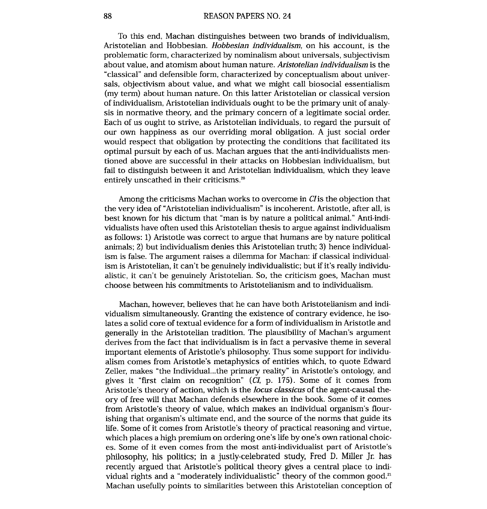To this end, Machan distinguishes between two brands of individualism, Aristotelian and Hobbesian. *Hobbesian individualism,* on his account, is the problematic form, characterized by nominalism about universals, subjectivism about value, and atomism about human nature. *Aristotelian individualism* is the "classical" and defensible form, characterized by conceptualism about universals, objectivism about value, and what we might call biosocial essentialism (my term) about human nature. On this latter Aristotelian or classical version of individualism, Aristotelian individuals ought to be the primary unit of analysis in normative theory, and the primary concern of a legitimate social order. Each of us ought to strive, as Aristotelian individuals, to regard the pursuit of our own happiness as our overriding moral obligation. A just social order would respect that obligation by protecting the conditions that facilitated its optimal pursuit by each of us. Machan argues that the anti-individualists mentioned above are successful in their attacks on Hobbesian individualism, but fail to distinguish between it and Aristotelian individualism, which they leave entirely unscathed in their criticisms.<sup>20</sup>

Among the criticisms Machan works to overcome in CI is the objection that the very idea of "Aristotelian individualism" is incoherent. Aristotle, after all, is best known for his dictum that "man is by nature a political animal." Anti-individualists have often used this Aristotelian thesis to argue against individualism as follows: 1) Aristotle was correct to argue that humans are by nature political animals; 2) but individualism denies this Aristotelian truth; **3)** hence individualism is false. The argument raises a dilemma for Machan: if classical individualism is Aristotelian, it can't be genuinely individualistic; but if it's really individualistic, it can't be genuinely Aristotelian. So, the criticism goes, Machan must choose between his commitments to Aristotelianism and to individualism.

Machan, however, believes that he can have both Aristotelianism and individualism simultaneously. Granting the existence of contrary evidence, he isolates a solid core of textual evidence for a form of individualism in Aristotle and generally in the Aristotelian tradition. The plausibility of Machan's argument derives from the fact that individualism is in fact a pervasive theme in several important elements of Aristotle's philosophy. Thus some support for individualism comes from Aristotle's metaphysics of entities which, to quote Edward Zeller, makes "the Individual...the primary reality" in Aristotle's ontology, and gives it "first claim on recognition" **(CI,** p. 175). Some of it comes from Aristotle's theory of action, which is the *locus classicus* of the agent-causal theory of free will that Machan defends elsewhere in the book. Some of it comes from Aristotle's theory of value, which makes an individual organism's flourishing that organism's ultimate end, and the source of the norms that guide its life. Some of it comes from Aristotle's theory of practical reasoning and virtue, which places a high premium on ordering one's life by one's own rational choices. Some of it even comes from the most anti-individualist part of Aristotle's philosophy, his politics; in a justly-celebrated study, Fred D. Miller Jr. has recently argued that Aristotle's political theory gives a central place to individual rights and a "moderately individualistic" theory of the common good.<sup>21</sup> Machan usefully points to similarities between this Aristotelian conception of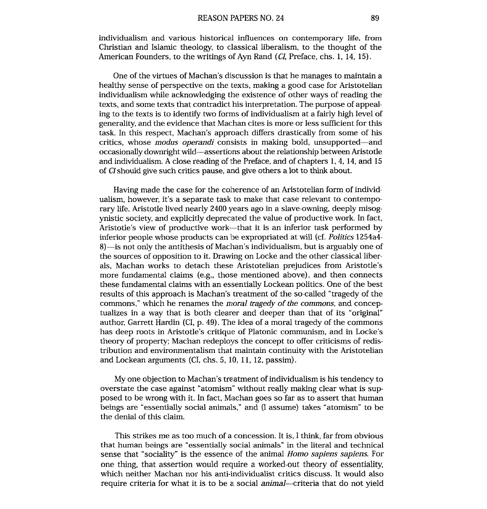individualism and various historical influences on contemporary life, from Christian and Islamic theology, to classical liberalism, to the thought of the American Founders, to the writings of Ayn Rand *(CI,* Preface, chs. 1, 14, 15).

One of the virtues of Machan's discussion is that he manages to maintain a healthy sense of perspective on the texts, making a good case for Aristotelian individualism while acknowledging the existence of other ways of reading the texts, and some texts that contradict his interpretation. The purpose of appealing to the texts is to identify two forms of individualism at a fairly high level of generality, and the evidence that Machan cites is more or less sufficient for this task. In this respect, Machan's approach differs drastically from some of his critics, whose modus operandi consists in making bold, unsupported-and occasionally downright wild-assertinns about the relationship between Aristotle and individualism. A close reading of the Preface, and of chapters 1,4, 14, and 15 of CIshould give such critics pause, and give others a lot to think about.

Having made the case for the coherence of an Aristotelian form of individualism, however, it's a separate task to make that case relevant to contemporary life. Aristotle lived nearly 2400 years ago in a slave-owning, deeply misogynistic society, and explicitly deprecated the value of productive work. In fact, Aristotle's view of productive work--that it is an inferior task performed by inferior people whose products can be expropriated at will (cf. Politics 1254a4- 8)-is not only the antithesis of Machan's individualism, but is arguably one of the sources of opposition to it. Drawing on Locke and the other classical liberals, Machan works to detach these Aristotelian prejudices from Aristotle's more fundamental claims (e.g., those mentioned above), and then connects these fundamental claims with an essentially Lockean politics. One of the best results of this approach is Machan's treatment of the so-called "tragedy of the commons," which he renames the moral tragedy of the commons, and conceptualizes in a way that is both clearer and deeper than that of its "original" author, Garrett Hardin (CI, p. 49). The idea of a moral tragedy of the commons has deep roots in Aristotle's critique of Platonic communism, and in Locke's theory of property; Machan redeploys the concept to offer criticisms of redistribution and environmentalism that maintain continuity with the Aristotelian and Lockean arguments (CI, chs. 5, 10, 11, 12, passim).

My one objection to Machan's treatment of individualism is his tendency to overstate the case against "atomism" without really making clear what is supposed to be wrong with it. In fact, Machan goes so far as to assert that human beings are "essentially social animals," and (I assume) takes "atomism" to be the denial of this claim.

This strikes me as too much of a concession. It is, I think, far from obvious that human beings are "essentially social animals" in the literal and technical sense that "sociality" is the essence of the animal Homo sapiens sapiens. For one thing, that assertion would require a worked-out theory of essentiality, which neither Machan nor his anti-individualist critics discuss. It would also require criteria for what it is to be **a** social animal-criteria that do not yield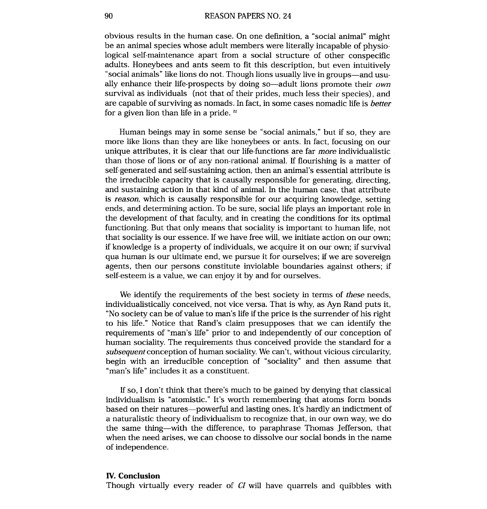obvious results in the human case. On one definition, a "social animal" might be an animal species whose adult members were literally incapable of physiological self-maintenance apart from a social structure of other conspecific adults. Honeybees and ants seem to fit this description, but even intuitively "social animals" like lions do not. Though lions usually live in groups—and usually enhance their life-prospects by doing so-adult lions promote their *own*  survival as individuals (not that of their prides, much less their species), and are capable of surviving as nomads. In fact, in some cases nomadic life is *better*  for a given lion than life in a pride. **<sup>22</sup>**

Human beings may in some sense be "social animals," but if so, they are more like lions than they are like lhoneybees or ants. In fact, focusing on our unique attributes, it is clear that our life-functions are far *more* individualistic than those of lions or of any non-rational animal. If flourishing is a matter of self-generated and self-sustaining action, then an animal's essential attribute is the irreducible capacity that is causally responsible for generating, directing, and sustaining action in that kind **d** animal. In the human case, that attribute is *reason,* which is causally responsible for our acquiring knowledge, setting ends, and determining action. To be sure, social life plays an important role in the development of that faculty, and in creating the conditions for its optimal functioning. But that only means that sociality is important to human life, not that sociality is our essence. If we have free will, we initiate action on our own; if knowledge is a property of individuals, we acquire it on our own; if survival qua human is our ultimate end, we pursue it for ourselves; if we are sovereign agents, then our persons constitute inviolable boundaries against others; if self-esteem is a value, we can enjoy it by and for ourselves.

We identify the requirements of the best society in terms of *these* needs, individualistically conceived, not vice versa. That is why, as Ayn Rand puts it, "No society can be of value to man's life if the price is the surrender of his right to his life." Notice that Rand's claim presupposes that we can identify the requirements of "man's life" prior to and independently of our conception of human sociality. The requirements thus conceived provide the standard for a *subsequent* conception of human sociality. We can't, without vicious circularity, begin with an irreducible conception of "sociality" and then assume that "man's life" includes it as a constituent.

If so, I don't think that there's much to be gained by denying that classical individualism is "atomistic." It's worth remembering that atoms form bonds based on their natures-powerful and lasting ones. It's hardly an indictment of a naturalistic theory of individualism to recognize that, in our own way, we do the same thing-with the difference, to paraphrase Thomas Jefferson, that when the need arises, we can choose to dissolve our social bonds in the name of independence.

### **IV. Conclusion**

Though virtually every reader of *CI* will have quarrels and quibbles with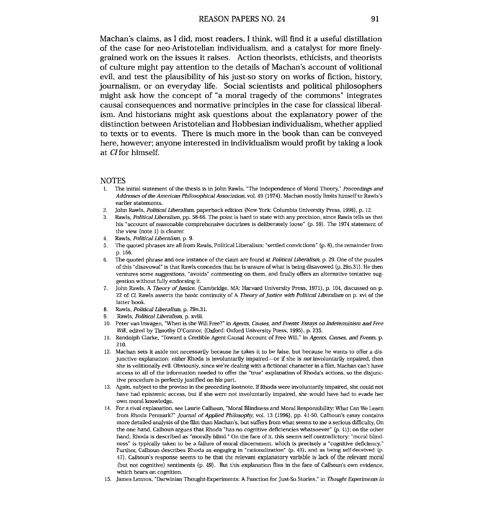Machan's claims, as I did, most readers, I think, will find it a useful distillation of the case for neo-Aristotelian individualism, and a catalyst for more finelygrained work on the issues it raises. Action theorists, ethicists, and theorists of culture might pay attention to the details of Machan's account of volitional evil, and test the plausibility of his just-so story on works of fiction, history, journalism, or on everyday life. Social scientists and political philosophers might ask how the concept of "a moral tragedy of the commons" integrates causal consequences and normative principles in the case for classical liberalism. And historians might ask questions about the explanatory power of the distinction between Aristotelian and Hobbesian individualism, whether applied to texts or to events. There is much more in the book than can be conveyed here, however; anyone interested in individualism would profit by taking a look at CIfor himself.

#### **NOTES**

- 1. The initial statement of the thesis is in John Rawls, "The Independence of Moral Theory," Proceedings and Addresses of the American Philosophical Association, vol. 49 (1974). Machan mostly limits himself to Rawls's earlier statements.
- 2. John Rawls, Political Liberalism, paperback edition (New York: Columbia University Press, 1996), p. 12.
- **3.** Rawls, Political Liberalism, pp. 58-66. The point is hard to state with any precision, since Rawls tells us that his "account of reasonable comprehensive doctrines is deliberately loose" (p. 59). The 1974 statement of the view (note 1) is clearer.
- 4. Rawls, Political Liberalism, p. 9.
- 5. The quoted phrases are all from Rawls, Political Liberalism: "settled convictions" (p. 8), the remainder from p. 156.
- 6. The quoted phrase and one instance of the claim are found at Political Liberalism, p. 29. One of the puzzles of this "disavowal" is that Rawls concedes that he is unsure of what is being disavowed  $(p. 29n.31)$ . He then ventures some suggestions, "avoids" commenting on them, and finally offers an alternative tentative suggestion without fully endorsing it.
- 7. John Rawls, A Theory of Justice, (Cambridge, MA: Harvard University Press, 1971), p. 104, discussed on p. 22 of CI. Rawls asserts the basic continuity of A Theory of Justice with Political Liberalism on p. xvi of the latter book.
- 8. Rawls, Political Liberalism, p. 29n.31.
- 9. Rawls, Political Liberalism, p. xviii.
- 10. Peter van Inwagen, "When is the Will Free?" in Agents, Causes, *and* Events: Essays on hdetermimsm and Free Will, edited by Timothy O'Connor, (Oxford: Oxford University Press, 1995), p. 235.
- 11. Randolph Clarke, "Toward a Credible Agent-Gausal Account of Free Will," in Agents, Causes, and Events, p. 210.
- 12. Machan sets it aside not necessarily because he takes it to be false, but because he wants to offer a disjunctive explanation: either Rhoda is involuntarily impaired-or if she is not involuntarily impaired, then she is volitionally evil. Obviously, since we're dealing with a fictional character in a film, Machan can't have access to all of the information needed to offier the "true" explanation of Rhoda's actions, so the disjunctive procedure is perfectly justified on his part.
- 13. Again, subject to the proviso in the preceding footnote. If Rhoda were involuntarily impaired, she could not have had epistemic access, but if she were not involuntarily impaired, she would have had to evade her own moral knowledge.
- 14. For a rival explanation, see Laurie Calhoun, "Moral Blindness and Moral Responsibility: What Can We Learn from Rhoda Penmark?" Journal of Applied Philosophy, vol. 13 (1996). pp. 41-50. Calhoun's essay contains more detailed analysis of the fdm than Machan's, but suffers from what seems to me a serious difficulty. On the one hand, Calhoun argues that Rhoda "has no cognitive deficiencies whatsoever"  $(p. 41)$ ; on the other hand, Rhoda is described as "morally blind." On the face of it, this seems self-contradictory: "moral blindness" is typically taken to be a failure of moral discernment, which is precisely a "cognitive deficiency." Further, Calhoun describes Rhoda as engaging in "rationalization" (p. 43), and as being self-deceived (p. 47). Calhoun's response seems to be that the relevant explanatory variable is lack of the relevant moral (but not cognitive) sentiments (p. 49). But this explanation flies in the face of Calhoun's own evidence, which bears on cognition.
- 15. James Lemox. "Darwinian Thought-Experiments: **A** Function for Just-So Stories," in Thought Experiments in